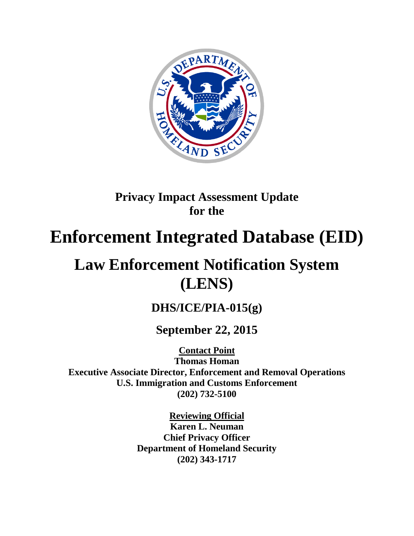

# **Privacy Impact Assessment Update for the**

# **Enforcement Integrated Database (EID)**

# **Law Enforcement Notification System (LENS)**

# **DHS/ICE/PIA-015(g)**

# **September 22, 2015**

**Contact Point Thomas Homan Executive Associate Director, Enforcement and Removal Operations U.S. Immigration and Customs Enforcement (202) 732-5100**

> **Reviewing Official Karen L. Neuman Chief Privacy Officer Department of Homeland Security (202) 343-1717**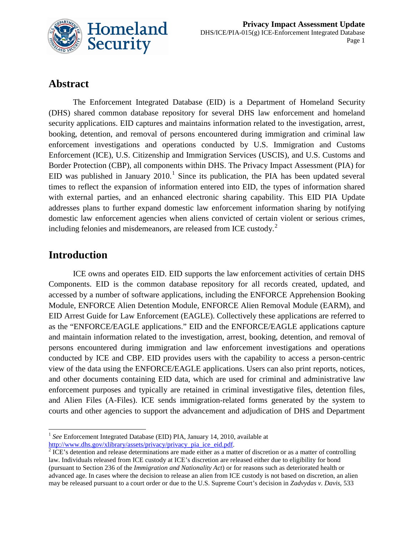

### **Abstract**

The Enforcement Integrated Database (EID) is a Department of Homeland Security (DHS) shared common database repository for several DHS law enforcement and homeland security applications. EID captures and maintains information related to the investigation, arrest, booking, detention, and removal of persons encountered during immigration and criminal law enforcement investigations and operations conducted by U.S. Immigration and Customs Enforcement (ICE), U.S. Citizenship and Immigration Services (USCIS), and U.S. Customs and Border Protection (CBP), all components within DHS. The Privacy Impact Assessment (PIA) for EID was published in January 20[1](#page-1-0)0.<sup>1</sup> Since its publication, the PIA has been updated several times to reflect the expansion of information entered into EID, the types of information shared with external parties, and an enhanced electronic sharing capability. This EID PIA Update addresses plans to further expand domestic law enforcement information sharing by notifying domestic law enforcement agencies when aliens convicted of certain violent or serious crimes, including felonies and misdemeanors, are released from ICE custody.<sup>[2](#page-1-1)</sup>

### **Introduction**

 $\overline{\phantom{a}}$ 

ICE owns and operates EID. EID supports the law enforcement activities of certain DHS Components. EID is the common database repository for all records created, updated, and accessed by a number of software applications, including the ENFORCE Apprehension Booking Module, ENFORCE Alien Detention Module, ENFORCE Alien Removal Module (EARM), and EID Arrest Guide for Law Enforcement (EAGLE). Collectively these applications are referred to as the "ENFORCE/EAGLE applications." EID and the ENFORCE/EAGLE applications capture and maintain information related to the investigation, arrest, booking, detention, and removal of persons encountered during immigration and law enforcement investigations and operations conducted by ICE and CBP. EID provides users with the capability to access a person-centric view of the data using the ENFORCE/EAGLE applications. Users can also print reports, notices, and other documents containing EID data, which are used for criminal and administrative law enforcement purposes and typically are retained in criminal investigative files, detention files, and Alien Files (A-Files). ICE sends immigration-related forms generated by the system to courts and other agencies to support the advancement and adjudication of DHS and Department

<span id="page-1-0"></span><sup>&</sup>lt;sup>1</sup> See Enforcement Integrated Database (EID) PIA, January 14, 2010, available at

<span id="page-1-1"></span> $\frac{http://www.dhs.gov/xlibrary/assets/privacy/pixoy}$  pia\_ice\_eid.pdf.<br><sup>2</sup> ICE's detention and release determinations are made either as a matter of discretion or as a matter of controlling law. Individuals released from ICE custody at ICE's discretion are released either due to eligibility for bond (pursuant to Section 236 of the *Immigration and Nationality Act*) or for reasons such as deteriorated health or advanced age. In cases where the decision to release an alien from ICE custody is not based on discretion, an alien may be released pursuant to a court order or due to the U.S. Supreme Court's decision in *Zadvydas v. Davis*, 533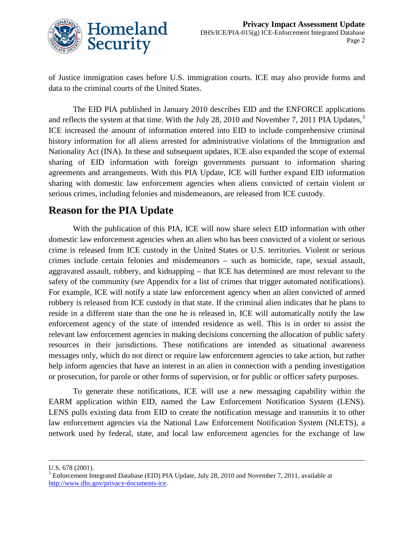

of Justice immigration cases before U.S. immigration courts. ICE may also provide forms and data to the criminal courts of the United States.

The EID PIA published in January 2010 describes EID and the ENFORCE applications and reflects the system at that time. With the July 28, 2010 and November 7, 2011 PIA Updates, $3\overline{3}$  $3\overline{3}$ ICE increased the amount of information entered into EID to include comprehensive criminal history information for all aliens arrested for administrative violations of the Immigration and Nationality Act (INA). In these and subsequent updates, ICE also expanded the scope of external sharing of EID information with foreign governments pursuant to information sharing agreements and arrangements. With this PIA Update, ICE will further expand EID information sharing with domestic law enforcement agencies when aliens convicted of certain violent or serious crimes, including felonies and misdemeanors, are released from ICE custody.

### **Reason for the PIA Update**

With the publication of this PIA, ICE will now share select EID information with other domestic law enforcement agencies when an alien who has been convicted of a violent or serious crime is released from ICE custody in the United States or U.S. territories. Violent or serious crimes include certain felonies and misdemeanors – such as homicide, rape, sexual assault, aggravated assault, robbery, and kidnapping – that ICE has determined are most relevant to the safety of the community (*see* Appendix for a list of crimes that trigger automated notifications). For example, ICE will notify a state law enforcement agency when an alien convicted of armed robbery is released from ICE custody in that state. If the criminal alien indicates that he plans to reside in a different state than the one he is released in, ICE will automatically notify the law enforcement agency of the state of intended residence as well. This is in order to assist the relevant law enforcement agencies in making decisions concerning the allocation of public safety resources in their jurisdictions. These notifications are intended as situational awareness messages only, which do not direct or require law enforcement agencies to take action, but rather help inform agencies that have an interest in an alien in connection with a pending investigation or prosecution, for parole or other forms of supervision, or for public or officer safety purposes.

To generate these notifications, ICE will use a new messaging capability within the EARM application within EID, named the Law Enforcement Notification System (LENS). LENS pulls existing data from EID to create the notification message and transmits it to other law enforcement agencies via the National Law Enforcement Notification System (NLETS), a network used by federal, state, and local law enforcement agencies for the exchange of law

 $\overline{a}$ 

<span id="page-2-0"></span>U.S. 678 (2001).<br><sup>3</sup> Enforcement Integrated Database (EID) PIA Update, July 28, 2010 and November 7, 2011, available at [http://www.dhs.gov/privacy-documents-ice.](http://www.dhs.gov/privacy-documents-ice)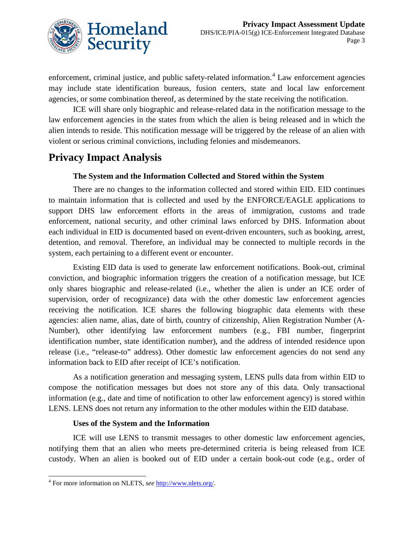

enforcement, criminal justice, and public safety-related information.<sup>[4](#page-3-0)</sup> Law enforcement agencies may include state identification bureaus, fusion centers, state and local law enforcement agencies, or some combination thereof, as determined by the state receiving the notification.

ICE will share only biographic and release-related data in the notification message to the law enforcement agencies in the states from which the alien is being released and in which the alien intends to reside. This notification message will be triggered by the release of an alien with violent or serious criminal convictions, including felonies and misdemeanors.

### **Privacy Impact Analysis**

#### **The System and the Information Collected and Stored within the System**

There are no changes to the information collected and stored within EID. EID continues to maintain information that is collected and used by the ENFORCE/EAGLE applications to support DHS law enforcement efforts in the areas of immigration, customs and trade enforcement, national security, and other criminal laws enforced by DHS. Information about each individual in EID is documented based on event-driven encounters, such as booking, arrest, detention, and removal. Therefore, an individual may be connected to multiple records in the system, each pertaining to a different event or encounter.

Existing EID data is used to generate law enforcement notifications. Book-out, criminal conviction, and biographic information triggers the creation of a notification message, but ICE only shares biographic and release-related (i.e., whether the alien is under an ICE order of supervision, order of recognizance) data with the other domestic law enforcement agencies receiving the notification. ICE shares the following biographic data elements with these agencies: alien name, alias, date of birth, country of citizenship, Alien Registration Number (A-Number), other identifying law enforcement numbers (e.g., FBI number, fingerprint identification number, state identification number), and the address of intended residence upon release (i.e., "release-to" address). Other domestic law enforcement agencies do not send any information back to EID after receipt of ICE's notification.

As a notification generation and messaging system, LENS pulls data from within EID to compose the notification messages but does not store any of this data. Only transactional information (e.g., date and time of notification to other law enforcement agency) is stored within LENS. LENS does not return any information to the other modules within the EID database.

#### **Uses of the System and the Information**

ICE will use LENS to transmit messages to other domestic law enforcement agencies, notifying them that an alien who meets pre-determined criteria is being released from ICE custody. When an alien is booked out of EID under a certain book-out code (e.g., order of

 $\overline{\phantom{a}}$ 

<span id="page-3-0"></span><sup>4</sup> For more information on NLETS, *see* [http://www.nlets.org/.](http://www.nlets.org/)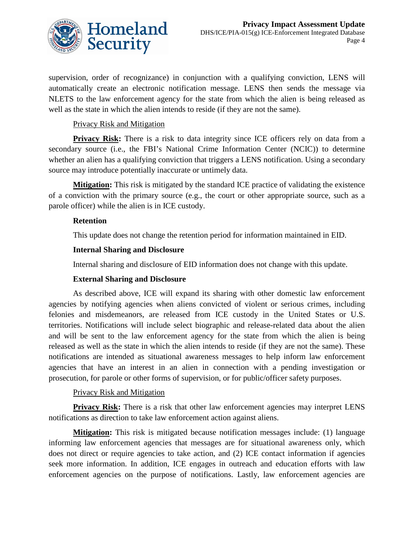

supervision, order of recognizance) in conjunction with a qualifying conviction, LENS will automatically create an electronic notification message. LENS then sends the message via NLETS to the law enforcement agency for the state from which the alien is being released as well as the state in which the alien intends to reside (if they are not the same).

#### Privacy Risk and Mitigation

**Privacy Risk:** There is a risk to data integrity since ICE officers rely on data from a secondary source (i.e., the FBI's National Crime Information Center (NCIC)) to determine whether an alien has a qualifying conviction that triggers a LENS notification. Using a secondary source may introduce potentially inaccurate or untimely data.

**Mitigation:** This risk is mitigated by the standard ICE practice of validating the existence of a conviction with the primary source (e.g., the court or other appropriate source, such as a parole officer) while the alien is in ICE custody.

#### **Retention**

This update does not change the retention period for information maintained in EID.

#### **Internal Sharing and Disclosure**

Internal sharing and disclosure of EID information does not change with this update.

#### **External Sharing and Disclosure**

As described above, ICE will expand its sharing with other domestic law enforcement agencies by notifying agencies when aliens convicted of violent or serious crimes, including felonies and misdemeanors, are released from ICE custody in the United States or U.S. territories. Notifications will include select biographic and release-related data about the alien and will be sent to the law enforcement agency for the state from which the alien is being released as well as the state in which the alien intends to reside (if they are not the same). These notifications are intended as situational awareness messages to help inform law enforcement agencies that have an interest in an alien in connection with a pending investigation or prosecution, for parole or other forms of supervision, or for public/officer safety purposes.

#### Privacy Risk and Mitigation

**Privacy Risk:** There is a risk that other law enforcement agencies may interpret LENS notifications as direction to take law enforcement action against aliens.

**Mitigation:** This risk is mitigated because notification messages include: (1) language informing law enforcement agencies that messages are for situational awareness only, which does not direct or require agencies to take action, and (2) ICE contact information if agencies seek more information. In addition, ICE engages in outreach and education efforts with law enforcement agencies on the purpose of notifications. Lastly, law enforcement agencies are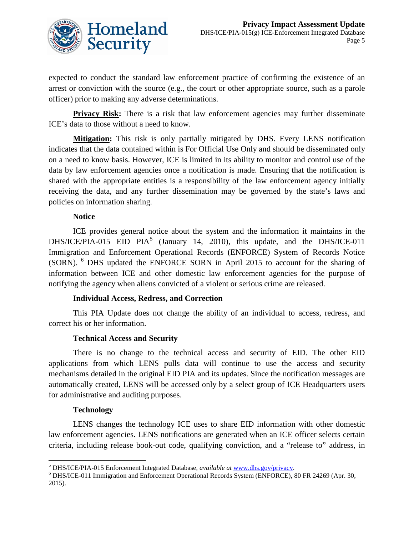

expected to conduct the standard law enforcement practice of confirming the existence of an arrest or conviction with the source (e.g., the court or other appropriate source, such as a parole officer) prior to making any adverse determinations.

**Privacy Risk:** There is a risk that law enforcement agencies may further disseminate ICE's data to those without a need to know.

**Mitigation:** This risk is only partially mitigated by DHS. Every LENS notification indicates that the data contained within is For Official Use Only and should be disseminated only on a need to know basis. However, ICE is limited in its ability to monitor and control use of the data by law enforcement agencies once a notification is made. Ensuring that the notification is shared with the appropriate entities is a responsibility of the law enforcement agency initially receiving the data, and any further dissemination may be governed by the state's laws and policies on information sharing.

#### **Notice**

ICE provides general notice about the system and the information it maintains in the DHS/ICE/PIA-01[5](#page-5-0) EID PIA<sup>5</sup> (January 14, 2010), this update, and the DHS/ICE-011 Immigration and Enforcement Operational Records (ENFORCE) System of Records Notice (SORN). [6](#page-5-1) DHS updated the ENFORCE SORN in April 2015 to account for the sharing of information between ICE and other domestic law enforcement agencies for the purpose of notifying the agency when aliens convicted of a violent or serious crime are released.

#### **Individual Access, Redress, and Correction**

This PIA Update does not change the ability of an individual to access, redress, and correct his or her information.

#### **Technical Access and Security**

There is no change to the technical access and security of EID. The other EID applications from which LENS pulls data will continue to use the access and security mechanisms detailed in the original EID PIA and its updates. Since the notification messages are automatically created, LENS will be accessed only by a select group of ICE Headquarters users for administrative and auditing purposes.

#### **Technology**

 $\overline{a}$ 

LENS changes the technology ICE uses to share EID information with other domestic law enforcement agencies. LENS notifications are generated when an ICE officer selects certain criteria, including release book-out code, qualifying conviction, and a "release to" address, in

<span id="page-5-1"></span><span id="page-5-0"></span><sup>5</sup> DHS/ICE/PIA-015 Enforcement Integrated Database, *available at* [www.dhs.gov/privacy.](http://www.dhs.gov/privacy) 6 DHS/ICE-011 Immigration and Enforcement Operational Records System (ENFORCE), 80 FR 24269 (Apr. 30, 2015).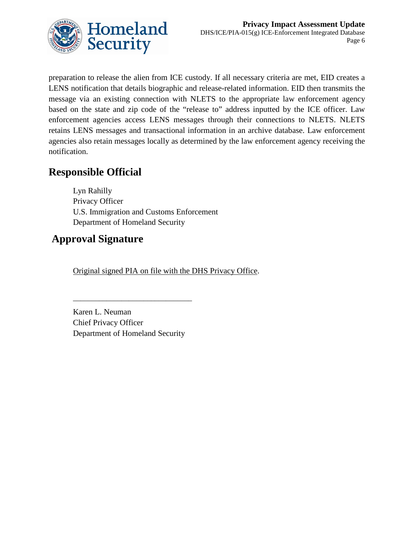

preparation to release the alien from ICE custody. If all necessary criteria are met, EID creates a LENS notification that details biographic and release-related information. EID then transmits the message via an existing connection with NLETS to the appropriate law enforcement agency based on the state and zip code of the "release to" address inputted by the ICE officer. Law enforcement agencies access LENS messages through their connections to NLETS. NLETS retains LENS messages and transactional information in an archive database. Law enforcement agencies also retain messages locally as determined by the law enforcement agency receiving the notification.

## **Responsible Official**

Lyn Rahilly Privacy Officer U.S. Immigration and Customs Enforcement Department of Homeland Security

## **Approval Signature**

Original signed PIA on file with the DHS Privacy Office.

Karen L. Neuman Chief Privacy Officer Department of Homeland Security

\_\_\_\_\_\_\_\_\_\_\_\_\_\_\_\_\_\_\_\_\_\_\_\_\_\_\_\_\_\_\_\_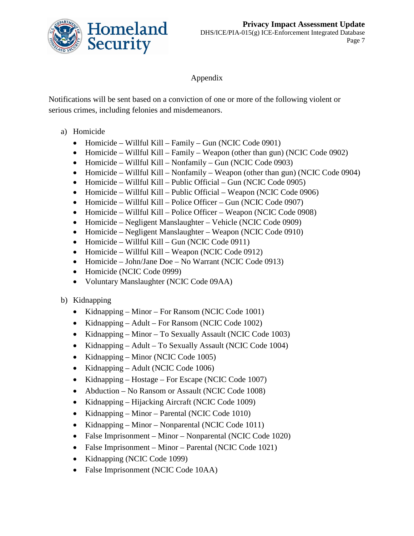

Appendix

Notifications will be sent based on a conviction of one or more of the following violent or serious crimes, including felonies and misdemeanors.

- a) Homicide
	- Homicide Willful Kill Family Gun (NCIC Code 0901)
	- Homicide Willful Kill Family Weapon (other than gun) (NCIC Code 0902)
	- Homicide Willful Kill Nonfamily Gun (NCIC Code 0903)
	- Homicide Willful Kill Nonfamily Weapon (other than gun) (NCIC Code 0904)
	- Homicide Willful Kill Public Official Gun (NCIC Code 0905)
	- Homicide Willful Kill Public Official Weapon (NCIC Code 0906)
	- Homicide Willful Kill Police Officer Gun (NCIC Code 0907)
	- Homicide Willful Kill Police Officer Weapon (NCIC Code 0908)
	- Homicide Negligent Manslaughter Vehicle (NCIC Code 0909)
	- Homicide Negligent Manslaughter Weapon (NCIC Code 0910)
	- Homicide Willful Kill Gun (NCIC Code 0911)
	- Homicide Willful Kill Weapon (NCIC Code 0912)
	- Homicide John/Jane Doe No Warrant (NCIC Code 0913)
	- Homicide (NCIC Code 0999)
	- Voluntary Manslaughter (NCIC Code 09AA)

#### b) Kidnapping

- Kidnapping Minor For Ransom (NCIC Code 1001)
- Kidnapping Adult For Ransom (NCIC Code 1002)
- Kidnapping Minor To Sexually Assault (NCIC Code 1003)
- Kidnapping Adult To Sexually Assault (NCIC Code 1004)
- Kidnapping Minor (NCIC Code 1005)
- Kidnapping Adult (NCIC Code 1006)
- Kidnapping Hostage For Escape (NCIC Code 1007)
- Abduction No Ransom or Assault (NCIC Code 1008)
- Kidnapping Hijacking Aircraft (NCIC Code 1009)
- Kidnapping Minor Parental (NCIC Code 1010)
- Kidnapping Minor Nonparental (NCIC Code 1011)
- False Imprisonment Minor Nonparental (NCIC Code 1020)
- False Imprisonment Minor Parental (NCIC Code 1021)
- Kidnapping (NCIC Code 1099)
- False Imprisonment (NCIC Code 10AA)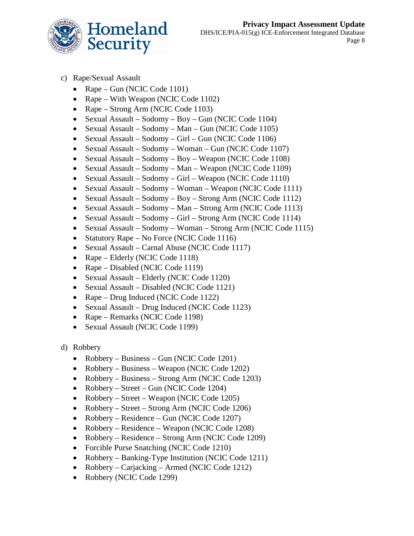

- c) Rape/Sexual Assault
	- Rape Gun (NCIC Code 1101)
	- Rape With Weapon (NCIC Code 1102)
	- Rape Strong Arm (NCIC Code 1103)
	- Sexual Assault Sodomy Boy Gun (NCIC Code 1104)
	- Sexual Assault Sodomy Man Gun (NCIC Code 1105)
	- Sexual Assault Sodomy Girl Gun (NCIC Code 1106)
	- Sexual Assault Sodomy Woman Gun (NCIC Code 1107)
	- Sexual Assault Sodomy Boy Weapon (NCIC Code 1108)
	- Sexual Assault Sodomy Man Weapon (NCIC Code 1109)
	- Sexual Assault Sodomy Girl Weapon (NCIC Code 1110)
	- Sexual Assault Sodomy Woman Weapon (NCIC Code 1111)
	- Sexual Assault Sodomy Boy Strong Arm (NCIC Code 1112)
	- Sexual Assault Sodomy Man Strong Arm (NCIC Code 1113)
	- Sexual Assault Sodomy Girl Strong Arm (NCIC Code 1114)
	- Sexual Assault Sodomy Woman Strong Arm (NCIC Code 1115)
	- Statutory Rape No Force (NCIC Code 1116)
	- Sexual Assault Carnal Abuse (NCIC Code 1117)
	- Rape Elderly (NCIC Code 1118)
	- Rape Disabled (NCIC Code 1119)
	- Sexual Assault Elderly (NCIC Code 1120)
	- Sexual Assault Disabled (NCIC Code 1121)
	- Rape Drug Induced (NCIC Code 1122)
	- Sexual Assault Drug Induced (NCIC Code 1123)
	- Rape Remarks (NCIC Code 1198)
	- Sexual Assault (NCIC Code 1199)
- d) Robbery
	- Robbery Business Gun (NCIC Code 1201)
	- Robbery Business Weapon (NCIC Code 1202)
	- Robbery Business Strong Arm (NCIC Code 1203)
	- Robbery Street Gun (NCIC Code 1204)
	- Robbery Street Weapon (NCIC Code 1205)
	- Robbery Street Strong Arm (NCIC Code 1206)
	- Robbery Residence Gun (NCIC Code 1207)
	- Robbery Residence Weapon (NCIC Code 1208)
	- Robbery Residence Strong Arm (NCIC Code 1209)
	- Forcible Purse Snatching (NCIC Code 1210)
	- Robbery Banking-Type Institution (NCIC Code 1211)
	- Robbery Carjacking Armed (NCIC Code 1212)
	- Robbery (NCIC Code 1299)